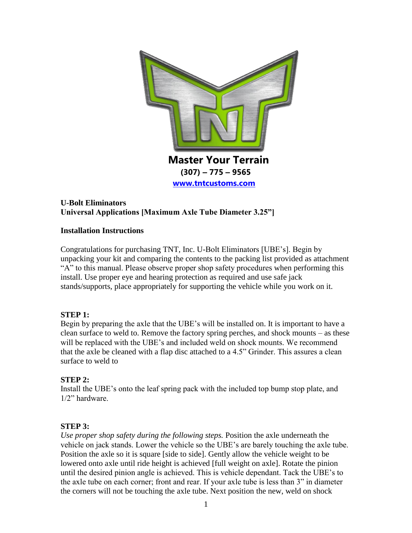

# **U-Bolt Eliminators Universal Applications [Maximum Axle Tube Diameter 3.25"]**

### **Installation Instructions**

Congratulations for purchasing TNT, Inc. U-Bolt Eliminators [UBE's]. Begin by unpacking your kit and comparing the contents to the packing list provided as attachment "A" to this manual. Please observe proper shop safety procedures when performing this install. Use proper eye and hearing protection as required and use safe jack stands/supports, place appropriately for supporting the vehicle while you work on it.

# **STEP 1:**

Begin by preparing the axle that the UBE's will be installed on. It is important to have a clean surface to weld to. Remove the factory spring perches, and shock mounts – as these will be replaced with the UBE's and included weld on shock mounts. We recommend that the axle be cleaned with a flap disc attached to a 4.5" Grinder. This assures a clean surface to weld to

# **STEP 2:**

Install the UBE's onto the leaf spring pack with the included top bump stop plate, and 1/2" hardware.

# **STEP 3:**

*Use proper shop safety during the following steps.* Position the axle underneath the vehicle on jack stands. Lower the vehicle so the UBE's are barely touching the axle tube. Position the axle so it is square [side to side]. Gently allow the vehicle weight to be lowered onto axle until ride height is achieved [full weight on axle]. Rotate the pinion until the desired pinion angle is achieved. This is vehicle dependant. Tack the UBE's to the axle tube on each corner; front and rear. If your axle tube is less than 3" in diameter the corners will not be touching the axle tube. Next position the new, weld on shock